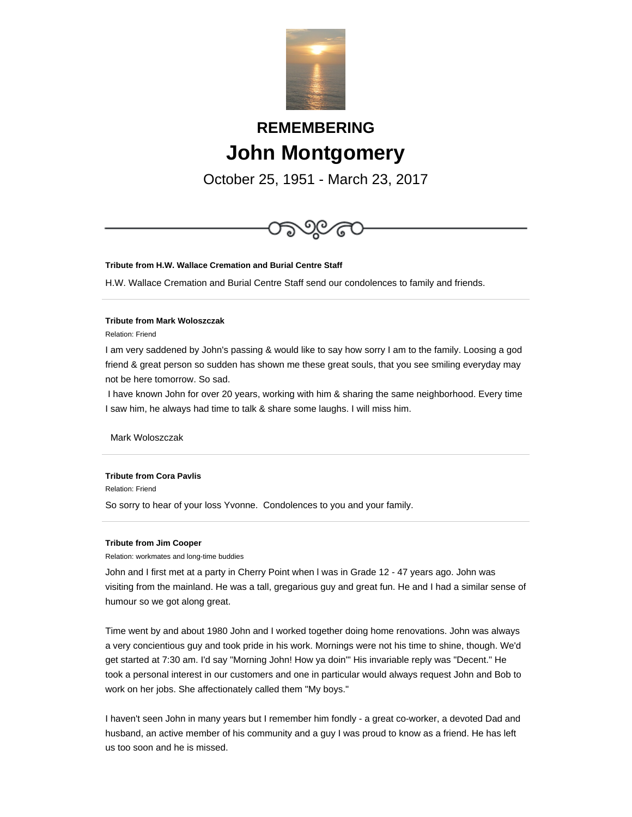

# **REMEMBERING John Montgomery**

October 25, 1951 - March 23, 2017



## **Tribute from H.W. Wallace Cremation and Burial Centre Staff**

H.W. Wallace Cremation and Burial Centre Staff send our condolences to family and friends.

#### **Tribute from Mark Woloszczak**

Relation: Friend

I am very saddened by John's passing & would like to say how sorry I am to the family. Loosing a god friend & great person so sudden has shown me these great souls, that you see smiling everyday may not be here tomorrow. So sad.

 I have known John for over 20 years, working with him & sharing the same neighborhood. Every time I saw him, he always had time to talk & share some laughs. I will miss him.

Mark Woloszczak

#### **Tribute from Cora Pavlis**

Relation: Friend

So sorry to hear of your loss Yvonne. Condolences to you and your family.

## **Tribute from Jim Cooper**

Relation: workmates and long-time buddies

John and I first met at a party in Cherry Point when l was in Grade 12 - 47 years ago. John was visiting from the mainland. He was a tall, gregarious guy and great fun. He and I had a similar sense of humour so we got along great.

Time went by and about 1980 John and I worked together doing home renovations. John was always a very concientious guy and took pride in his work. Mornings were not his time to shine, though. We'd get started at 7:30 am. I'd say "Morning John! How ya doin'" His invariable reply was "Decent." He took a personal interest in our customers and one in particular would always request John and Bob to work on her jobs. She affectionately called them "My boys."

I haven't seen John in many years but I remember him fondly - a great co-worker, a devoted Dad and husband, an active member of his community and a guy I was proud to know as a friend. He has left us too soon and he is missed.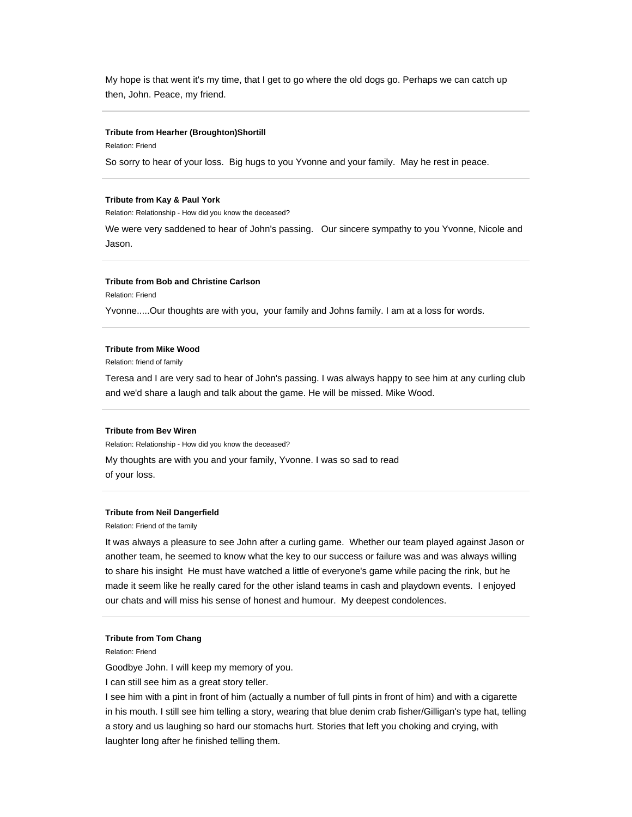My hope is that went it's my time, that I get to go where the old dogs go. Perhaps we can catch up then, John. Peace, my friend.

#### **Tribute from Hearher (Broughton)Shortill**

Relation: Friend

So sorry to hear of your loss. Big hugs to you Yvonne and your family. May he rest in peace.

#### **Tribute from Kay & Paul York**

Relation: Relationship - How did you know the deceased?

We were very saddened to hear of John's passing. Our sincere sympathy to you Yvonne, Nicole and Jason.

#### **Tribute from Bob and Christine Carlson**

Relation: Friend

Yvonne.....Our thoughts are with you, your family and Johns family. I am at a loss for words.

## **Tribute from Mike Wood**

Relation: friend of family

Teresa and I are very sad to hear of John's passing. I was always happy to see him at any curling club and we'd share a laugh and talk about the game. He will be missed. Mike Wood.

#### **Tribute from Bev Wiren**

Relation: Relationship - How did you know the deceased?

My thoughts are with you and your family, Yvonne. I was so sad to read of your loss.

#### **Tribute from Neil Dangerfield**

Relation: Friend of the family

It was always a pleasure to see John after a curling game. Whether our team played against Jason or another team, he seemed to know what the key to our success or failure was and was always willing to share his insight He must have watched a little of everyone's game while pacing the rink, but he made it seem like he really cared for the other island teams in cash and playdown events. I enjoyed our chats and will miss his sense of honest and humour. My deepest condolences.

#### **Tribute from Tom Chang**

Relation: Friend

Goodbye John. I will keep my memory of you.

I can still see him as a great story teller.

I see him with a pint in front of him (actually a number of full pints in front of him) and with a cigarette in his mouth. I still see him telling a story, wearing that blue denim crab fisher/Gilligan's type hat, telling a story and us laughing so hard our stomachs hurt. Stories that left you choking and crying, with laughter long after he finished telling them.